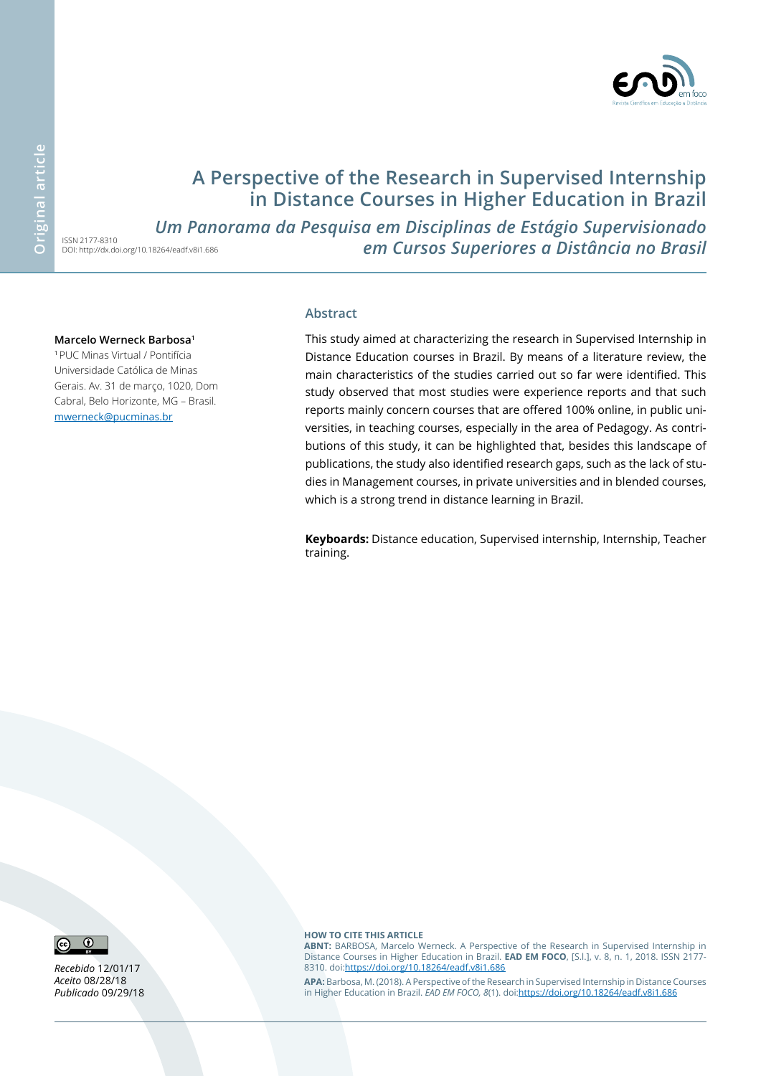

# **A Perspective of the Research in Supervised Internship in Distance Courses in Higher Education in Brazil**

DOI: http://dx.doi.org/10.18264/eadf.v8i1.686 *Um Panorama da Pesquisa em Disciplinas de Estágio Supervisionado em Cursos Superiores a Distância no Brasil*

#### **Marcelo Werneck Barbosa1**

ISSN 2177-8310

<sup>1</sup>PUC Minas Virtual / Pontifícia Universidade Católica de Minas Gerais. Av. 31 de março, 1020, Dom Cabral, Belo Horizonte, MG – Brasil. [mwerneck@pucminas.br](mailto:mwerneck%40pucminas.br?subject=EAD%20em%20Foco)

#### **Abstract**

This study aimed at characterizing the research in Supervised Internship in Distance Education courses in Brazil. By means of a literature review, the main characteristics of the studies carried out so far were identified. This study observed that most studies were experience reports and that such reports mainly concern courses that are offered 100% online, in public universities, in teaching courses, especially in the area of Pedagogy. As contributions of this study, it can be highlighted that, besides this landscape of publications, the study also identified research gaps, such as the lack of studies in Management courses, in private universities and in blended courses, which is a strong trend in distance learning in Brazil.

**Keyboards:** Distance education, Supervised internship, Internship, Teacher training.



*Recebido* 12/01/17 *Aceito* 08/28/18 *Publicado* 09/29/18 **how to cite this article**

**ABNT:** BARBOSA, Marcelo Werneck. A Perspective of the Research in Supervised Internship in Distance Courses in Higher Education in Brazil. **EAD EM FOCO**, [S.l.], v. 8, n. 1, 2018. ISSN 2177- 8310. doi:<https://doi.org/10.18264/eadf.v8i1.686>

**APA:** Barbosa, M. (2018). A Perspective of the Research in Supervised Internship in Distance Courses in Higher Education in Brazil. *EAD EM FOCO, 8*(1). doi:<https://doi.org/10.18264/eadf.v8i1.686>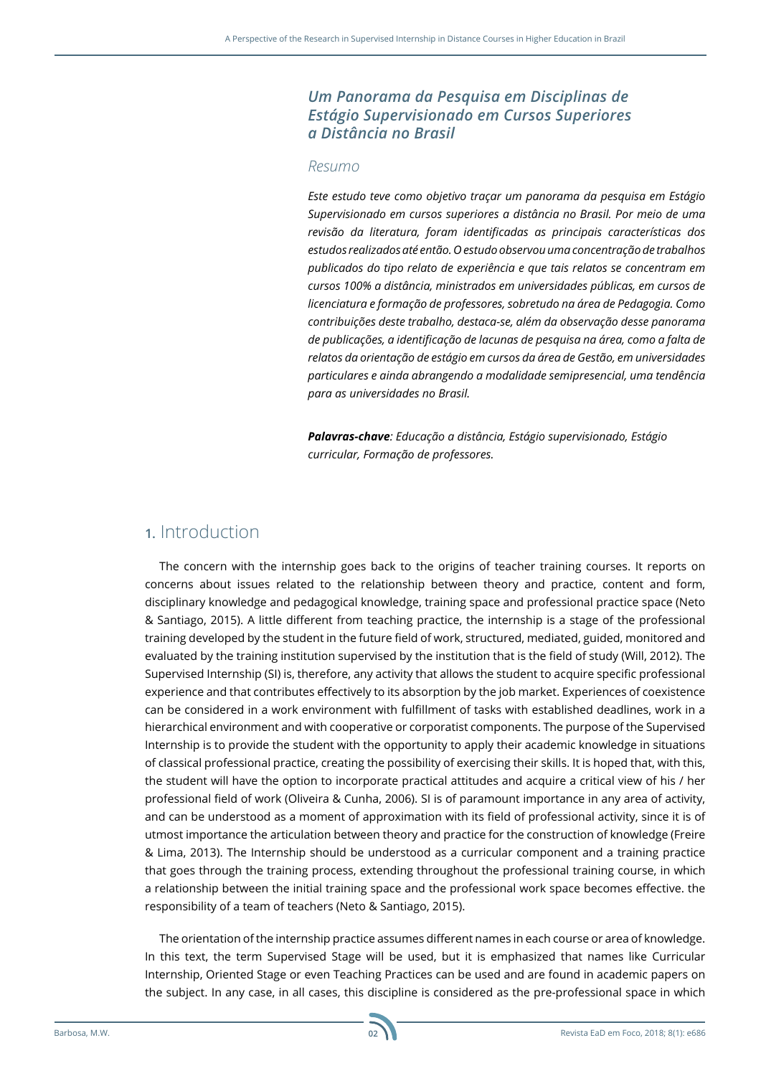#### *Um Panorama da Pesquisa em Disciplinas de Estágio Supervisionado em Cursos Superiores a Distância no Brasil*

#### *Resumo*

*Este estudo teve como objetivo traçar um panorama da pesquisa em Estágio Supervisionado em cursos superiores a distância no Brasil. Por meio de uma revisão da literatura, foram identificadas as principais características dos estudos realizados até então. O estudo observou uma concentração de trabalhos publicados do tipo relato de experiência e que tais relatos se concentram em cursos 100% a distância, ministrados em universidades públicas, em cursos de licenciatura e formação de professores, sobretudo na área de Pedagogia. Como contribuições deste trabalho, destaca-se, além da observação desse panorama de publicações, a identificação de lacunas de pesquisa na área, como a falta de relatos da orientação de estágio em cursos da área de Gestão, em universidades particulares e ainda abrangendo a modalidade semipresencial, uma tendência para as universidades no Brasil.* 

*Palavras-chave: Educação a distância, Estágio supervisionado, Estágio curricular, Formação de professores.*

### **1.** Introduction

The concern with the internship goes back to the origins of teacher training courses. It reports on concerns about issues related to the relationship between theory and practice, content and form, disciplinary knowledge and pedagogical knowledge, training space and professional practice space (Neto & Santiago, 2015). A little different from teaching practice, the internship is a stage of the professional training developed by the student in the future field of work, structured, mediated, guided, monitored and evaluated by the training institution supervised by the institution that is the field of study (Will, 2012). The Supervised Internship (SI) is, therefore, any activity that allows the student to acquire specific professional experience and that contributes effectively to its absorption by the job market. Experiences of coexistence can be considered in a work environment with fulfillment of tasks with established deadlines, work in a hierarchical environment and with cooperative or corporatist components. The purpose of the Supervised Internship is to provide the student with the opportunity to apply their academic knowledge in situations of classical professional practice, creating the possibility of exercising their skills. It is hoped that, with this, the student will have the option to incorporate practical attitudes and acquire a critical view of his / her professional field of work (Oliveira & Cunha, 2006). SI is of paramount importance in any area of activity, and can be understood as a moment of approximation with its field of professional activity, since it is of utmost importance the articulation between theory and practice for the construction of knowledge (Freire & Lima, 2013). The Internship should be understood as a curricular component and a training practice that goes through the training process, extending throughout the professional training course, in which a relationship between the initial training space and the professional work space becomes effective. the responsibility of a team of teachers (Neto & Santiago, 2015).

The orientation of the internship practice assumes different names in each course or area of knowledge. In this text, the term Supervised Stage will be used, but it is emphasized that names like Curricular Internship, Oriented Stage or even Teaching Practices can be used and are found in academic papers on the subject. In any case, in all cases, this discipline is considered as the pre-professional space in which

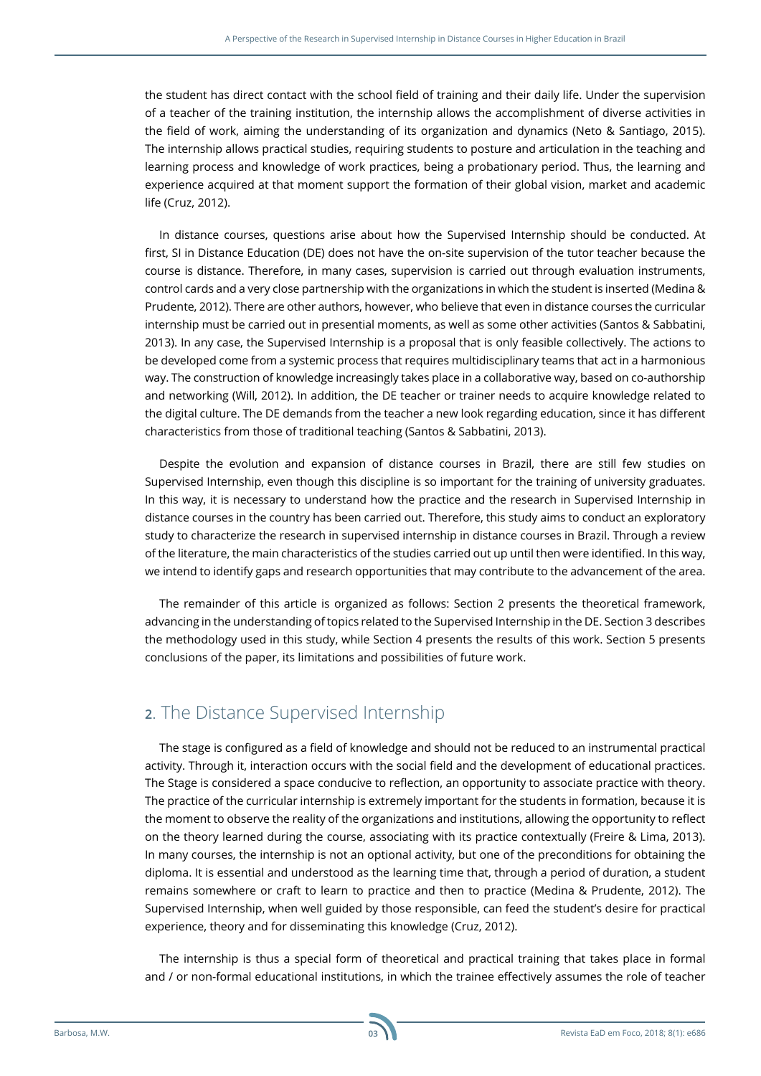the student has direct contact with the school field of training and their daily life. Under the supervision of a teacher of the training institution, the internship allows the accomplishment of diverse activities in the field of work, aiming the understanding of its organization and dynamics (Neto & Santiago, 2015). The internship allows practical studies, requiring students to posture and articulation in the teaching and learning process and knowledge of work practices, being a probationary period. Thus, the learning and experience acquired at that moment support the formation of their global vision, market and academic life (Cruz, 2012).

In distance courses, questions arise about how the Supervised Internship should be conducted. At first, SI in Distance Education (DE) does not have the on-site supervision of the tutor teacher because the course is distance. Therefore, in many cases, supervision is carried out through evaluation instruments, control cards and a very close partnership with the organizations in which the student is inserted (Medina & Prudente, 2012). There are other authors, however, who believe that even in distance courses the curricular internship must be carried out in presential moments, as well as some other activities (Santos & Sabbatini, 2013). In any case, the Supervised Internship is a proposal that is only feasible collectively. The actions to be developed come from a systemic process that requires multidisciplinary teams that act in a harmonious way. The construction of knowledge increasingly takes place in a collaborative way, based on co-authorship and networking (Will, 2012). In addition, the DE teacher or trainer needs to acquire knowledge related to the digital culture. The DE demands from the teacher a new look regarding education, since it has different characteristics from those of traditional teaching (Santos & Sabbatini, 2013).

Despite the evolution and expansion of distance courses in Brazil, there are still few studies on Supervised Internship, even though this discipline is so important for the training of university graduates. In this way, it is necessary to understand how the practice and the research in Supervised Internship in distance courses in the country has been carried out. Therefore, this study aims to conduct an exploratory study to characterize the research in supervised internship in distance courses in Brazil. Through a review of the literature, the main characteristics of the studies carried out up until then were identified. In this way, we intend to identify gaps and research opportunities that may contribute to the advancement of the area.

The remainder of this article is organized as follows: Section 2 presents the theoretical framework, advancing in the understanding of topics related to the Supervised Internship in the DE. Section 3 describes the methodology used in this study, while Section 4 presents the results of this work. Section 5 presents conclusions of the paper, its limitations and possibilities of future work.

# **2**. The Distance Supervised Internship

The stage is configured as a field of knowledge and should not be reduced to an instrumental practical activity. Through it, interaction occurs with the social field and the development of educational practices. The Stage is considered a space conducive to reflection, an opportunity to associate practice with theory. The practice of the curricular internship is extremely important for the students in formation, because it is the moment to observe the reality of the organizations and institutions, allowing the opportunity to reflect on the theory learned during the course, associating with its practice contextually (Freire & Lima, 2013). In many courses, the internship is not an optional activity, but one of the preconditions for obtaining the diploma. It is essential and understood as the learning time that, through a period of duration, a student remains somewhere or craft to learn to practice and then to practice (Medina & Prudente, 2012). The Supervised Internship, when well guided by those responsible, can feed the student's desire for practical experience, theory and for disseminating this knowledge (Cruz, 2012).

The internship is thus a special form of theoretical and practical training that takes place in formal and / or non-formal educational institutions, in which the trainee effectively assumes the role of teacher

**03**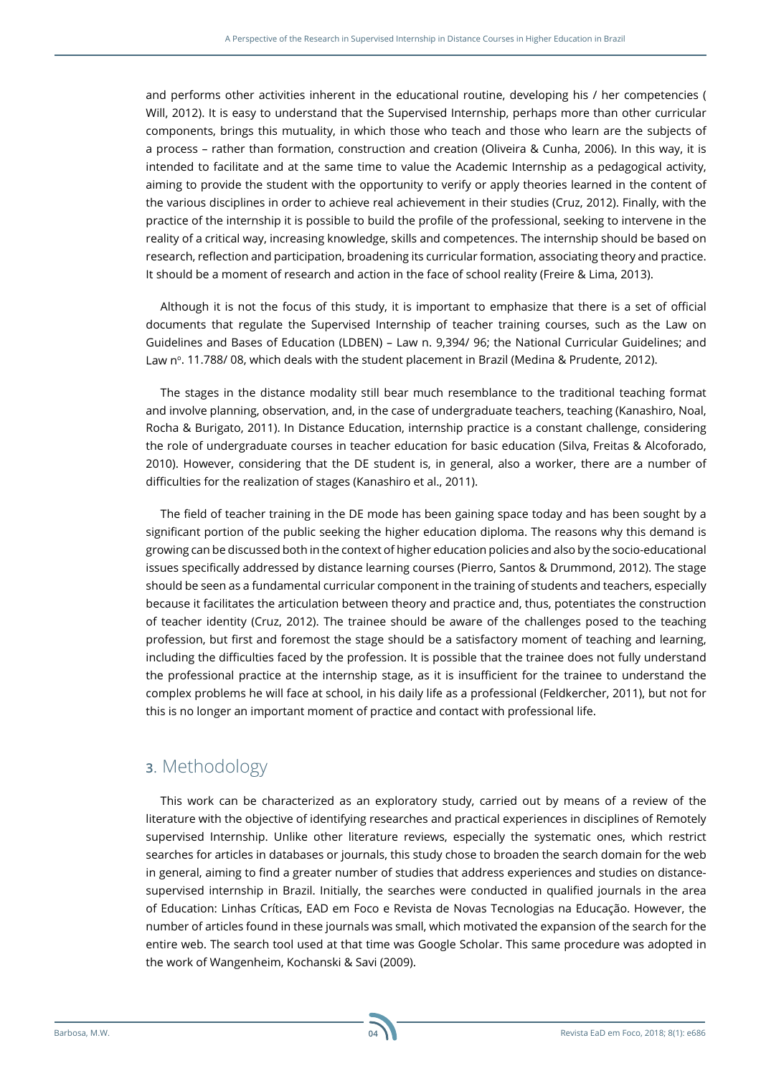and performs other activities inherent in the educational routine, developing his / her competencies ( Will, 2012). It is easy to understand that the Supervised Internship, perhaps more than other curricular components, brings this mutuality, in which those who teach and those who learn are the subjects of a process – rather than formation, construction and creation (Oliveira & Cunha, 2006). In this way, it is intended to facilitate and at the same time to value the Academic Internship as a pedagogical activity, aiming to provide the student with the opportunity to verify or apply theories learned in the content of the various disciplines in order to achieve real achievement in their studies (Cruz, 2012). Finally, with the practice of the internship it is possible to build the profile of the professional, seeking to intervene in the reality of a critical way, increasing knowledge, skills and competences. The internship should be based on research, reflection and participation, broadening its curricular formation, associating theory and practice. It should be a moment of research and action in the face of school reality (Freire & Lima, 2013).

Although it is not the focus of this study, it is important to emphasize that there is a set of official documents that regulate the Supervised Internship of teacher training courses, such as the Law on Guidelines and Bases of Education (LDBEN) – Law n. 9,394/ 96; the National Curricular Guidelines; and Law n°, 11.788/08, which deals with the student placement in Brazil (Medina & Prudente, 2012).

The stages in the distance modality still bear much resemblance to the traditional teaching format and involve planning, observation, and, in the case of undergraduate teachers, teaching (Kanashiro, Noal, Rocha & Burigato, 2011). In Distance Education, internship practice is a constant challenge, considering the role of undergraduate courses in teacher education for basic education (Silva, Freitas & Alcoforado, 2010). However, considering that the DE student is, in general, also a worker, there are a number of difficulties for the realization of stages (Kanashiro et al., 2011).

The field of teacher training in the DE mode has been gaining space today and has been sought by a significant portion of the public seeking the higher education diploma. The reasons why this demand is growing can be discussed both in the context of higher education policies and also by the socio-educational issues specifically addressed by distance learning courses (Pierro, Santos & Drummond, 2012). The stage should be seen as a fundamental curricular component in the training of students and teachers, especially because it facilitates the articulation between theory and practice and, thus, potentiates the construction of teacher identity (Cruz, 2012). The trainee should be aware of the challenges posed to the teaching profession, but first and foremost the stage should be a satisfactory moment of teaching and learning, including the difficulties faced by the profession. It is possible that the trainee does not fully understand the professional practice at the internship stage, as it is insufficient for the trainee to understand the complex problems he will face at school, in his daily life as a professional (Feldkercher, 2011), but not for this is no longer an important moment of practice and contact with professional life.

# **3**. Methodology

This work can be characterized as an exploratory study, carried out by means of a review of the literature with the objective of identifying researches and practical experiences in disciplines of Remotely supervised Internship. Unlike other literature reviews, especially the systematic ones, which restrict searches for articles in databases or journals, this study chose to broaden the search domain for the web in general, aiming to find a greater number of studies that address experiences and studies on distancesupervised internship in Brazil. Initially, the searches were conducted in qualified journals in the area of Education: Linhas Críticas, EAD em Foco e Revista de Novas Tecnologias na Educação. However, the number of articles found in these journals was small, which motivated the expansion of the search for the entire web. The search tool used at that time was Google Scholar. This same procedure was adopted in the work of Wangenheim, Kochanski & Savi (2009).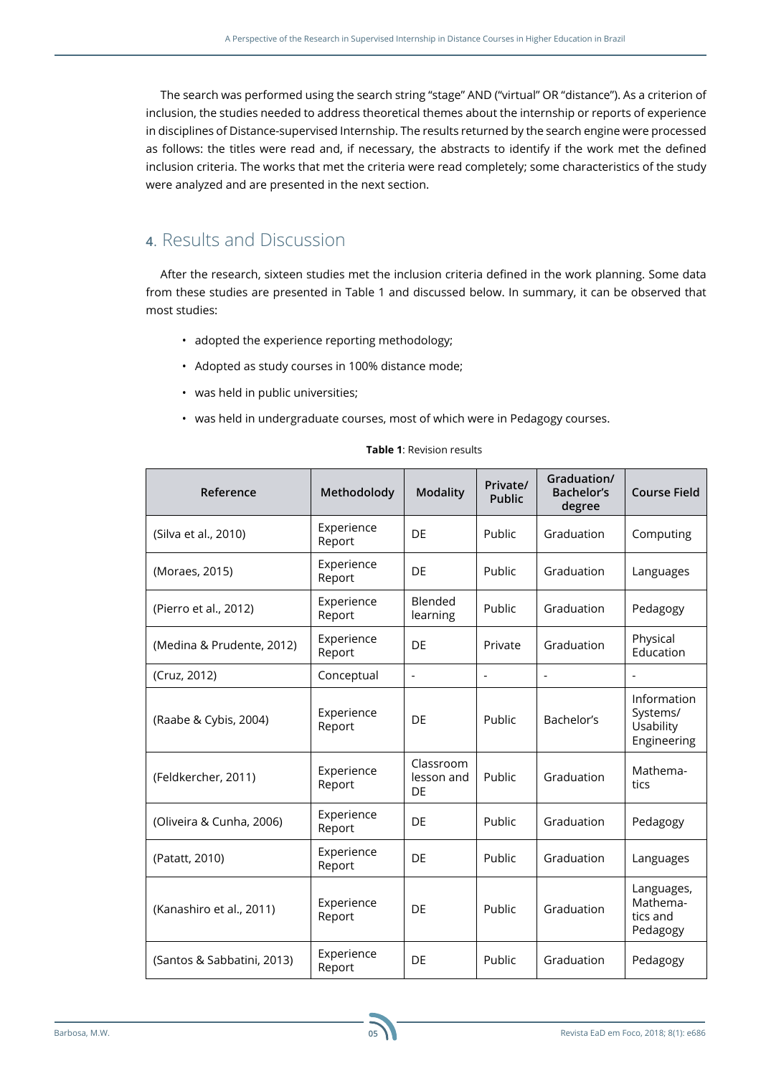The search was performed using the search string "stage" AND ("virtual" OR "distance"). As a criterion of inclusion, the studies needed to address theoretical themes about the internship or reports of experience in disciplines of Distance-supervised Internship. The results returned by the search engine were processed as follows: the titles were read and, if necessary, the abstracts to identify if the work met the defined inclusion criteria. The works that met the criteria were read completely; some characteristics of the study were analyzed and are presented in the next section.

## **4**. Results and Discussion

After the research, sixteen studies met the inclusion criteria defined in the work planning. Some data from these studies are presented in Table 1 and discussed below. In summary, it can be observed that most studies:

- adopted the experience reporting methodology;
- Adopted as study courses in 100% distance mode;
- was held in public universities;
- was held in undergraduate courses, most of which were in Pedagogy courses.

| Reference                  | Methodolody          | <b>Modality</b>               | Private/<br>Public | Graduation/<br>Bachelor's<br>degree | <b>Course Field</b>                                 |
|----------------------------|----------------------|-------------------------------|--------------------|-------------------------------------|-----------------------------------------------------|
| (Silva et al., 2010)       | Experience<br>Report | DF                            | Public             | Graduation                          | Computing                                           |
| (Moraes, 2015)             | Experience<br>Report | DE                            | Public             | Graduation                          | Languages                                           |
| (Pierro et al., 2012)      | Experience<br>Report | Blended<br>learning           | Public             | Graduation                          | Pedagogy                                            |
| (Medina & Prudente, 2012)  | Experience<br>Report | DE                            | Private            | Graduation                          | Physical<br>Education                               |
| (Cruz, 2012)               | Conceptual           | $\qquad \qquad \blacksquare$  | $\overline{a}$     | $\overline{a}$                      | ä,                                                  |
| (Raabe & Cybis, 2004)      | Experience<br>Report | DE                            | Public             | Bachelor's                          | Information<br>Systems/<br>Usability<br>Engineering |
| (Feldkercher, 2011)        | Experience<br>Report | Classroom<br>lesson and<br>DE | Public             | Graduation                          | Mathema-<br>tics                                    |
| (Oliveira & Cunha, 2006)   | Experience<br>Report | DE                            | Public             | Graduation                          | Pedagogy                                            |
| (Patatt, 2010)             | Experience<br>Report | DF                            | Public             | Graduation                          | Languages                                           |
| (Kanashiro et al., 2011)   | Experience<br>Report | DF                            | Public             | Graduation                          | Languages,<br>Mathema-<br>tics and<br>Pedagogy      |
| (Santos & Sabbatini, 2013) | Experience<br>Report | DE                            | Public             | Graduation                          | Pedagogy                                            |

#### **Table 1**: Revision results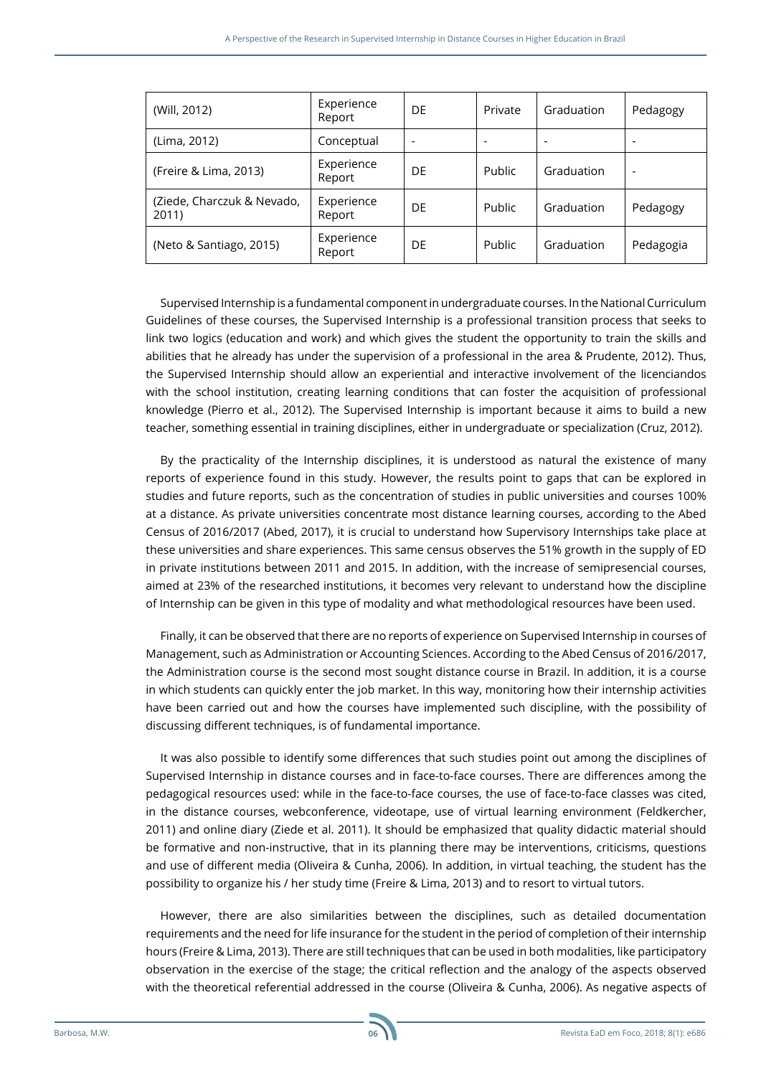| (Will, 2012)                        | Experience<br>Report | DE | Private | Graduation               | Pedagogy  |
|-------------------------------------|----------------------|----|---------|--------------------------|-----------|
| (Lima, 2012)                        | Conceptual           | -  | -       | $\overline{\phantom{0}}$ | -         |
| (Freire & Lima, 2013)               | Experience<br>Report | DE | Public  | Graduation               | -         |
| (Ziede, Charczuk & Nevado,<br>2011) | Experience<br>Report | DE | Public  | Graduation               | Pedagogy  |
| (Neto & Santiago, 2015)             | Experience<br>Report | DE | Public  | Graduation               | Pedagogia |

Supervised Internship is a fundamental component in undergraduate courses. In the National Curriculum Guidelines of these courses, the Supervised Internship is a professional transition process that seeks to link two logics (education and work) and which gives the student the opportunity to train the skills and abilities that he already has under the supervision of a professional in the area & Prudente, 2012). Thus, the Supervised Internship should allow an experiential and interactive involvement of the licenciandos with the school institution, creating learning conditions that can foster the acquisition of professional knowledge (Pierro et al., 2012). The Supervised Internship is important because it aims to build a new teacher, something essential in training disciplines, either in undergraduate or specialization (Cruz, 2012).

By the practicality of the Internship disciplines, it is understood as natural the existence of many reports of experience found in this study. However, the results point to gaps that can be explored in studies and future reports, such as the concentration of studies in public universities and courses 100% at a distance. As private universities concentrate most distance learning courses, according to the Abed Census of 2016/2017 (Abed, 2017), it is crucial to understand how Supervisory Internships take place at these universities and share experiences. This same census observes the 51% growth in the supply of ED in private institutions between 2011 and 2015. In addition, with the increase of semipresencial courses, aimed at 23% of the researched institutions, it becomes very relevant to understand how the discipline of Internship can be given in this type of modality and what methodological resources have been used.

Finally, it can be observed that there are no reports of experience on Supervised Internship in courses of Management, such as Administration or Accounting Sciences. According to the Abed Census of 2016/2017, the Administration course is the second most sought distance course in Brazil. In addition, it is a course in which students can quickly enter the job market. In this way, monitoring how their internship activities have been carried out and how the courses have implemented such discipline, with the possibility of discussing different techniques, is of fundamental importance.

It was also possible to identify some differences that such studies point out among the disciplines of Supervised Internship in distance courses and in face-to-face courses. There are differences among the pedagogical resources used: while in the face-to-face courses, the use of face-to-face classes was cited, in the distance courses, webconference, videotape, use of virtual learning environment (Feldkercher, 2011) and online diary (Ziede et al. 2011). It should be emphasized that quality didactic material should be formative and non-instructive, that in its planning there may be interventions, criticisms, questions and use of different media (Oliveira & Cunha, 2006). In addition, in virtual teaching, the student has the possibility to organize his / her study time (Freire & Lima, 2013) and to resort to virtual tutors.

However, there are also similarities between the disciplines, such as detailed documentation requirements and the need for life insurance for the student in the period of completion of their internship hours (Freire & Lima, 2013). There are still techniques that can be used in both modalities, like participatory observation in the exercise of the stage; the critical reflection and the analogy of the aspects observed with the theoretical referential addressed in the course (Oliveira & Cunha, 2006). As negative aspects of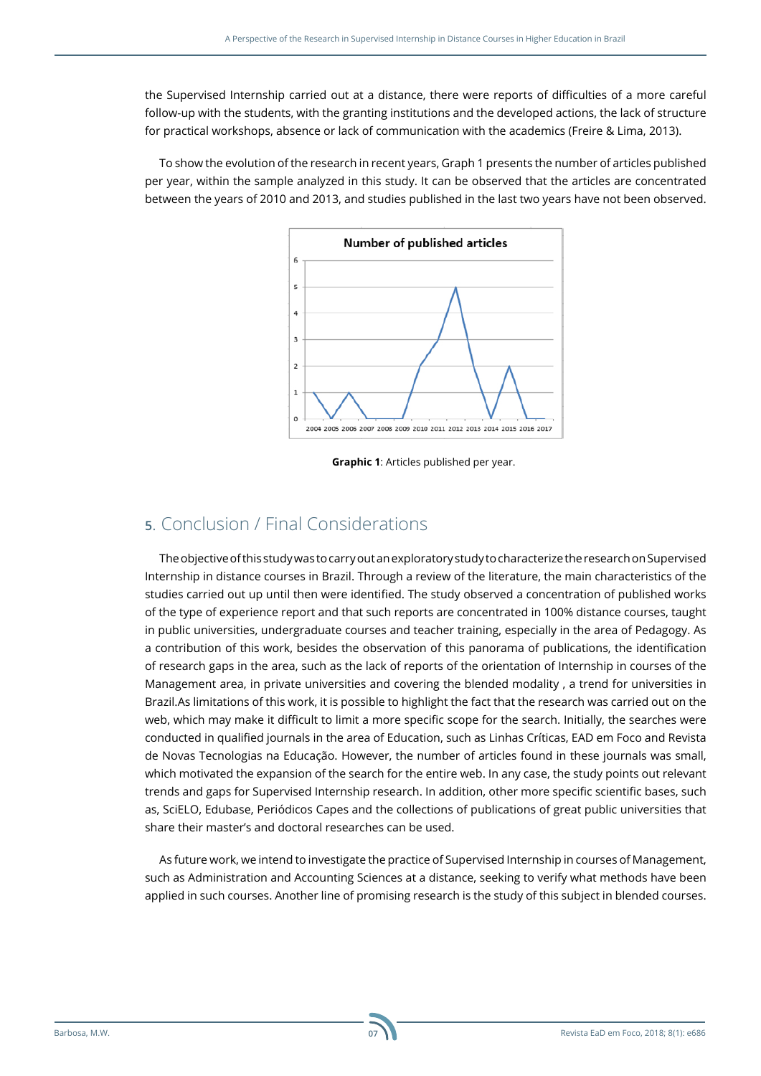the Supervised Internship carried out at a distance, there were reports of difficulties of a more careful follow-up with the students, with the granting institutions and the developed actions, the lack of structure for practical workshops, absence or lack of communication with the academics (Freire & Lima, 2013).

To show the evolution of the research in recent years, Graph 1 presents the number of articles published per year, within the sample analyzed in this study. It can be observed that the articles are concentrated between the years of 2010 and 2013, and studies published in the last two years have not been observed.



**Graphic 1**: Articles published per year.

## **5**. Conclusion / Final Considerations

The objective of this study was to carry out an exploratory study to characterize the research on Supervised Internship in distance courses in Brazil. Through a review of the literature, the main characteristics of the studies carried out up until then were identified. The study observed a concentration of published works of the type of experience report and that such reports are concentrated in 100% distance courses, taught in public universities, undergraduate courses and teacher training, especially in the area of Pedagogy. As a contribution of this work, besides the observation of this panorama of publications, the identification of research gaps in the area, such as the lack of reports of the orientation of Internship in courses of the Management area, in private universities and covering the blended modality , a trend for universities in Brazil.As limitations of this work, it is possible to highlight the fact that the research was carried out on the web, which may make it difficult to limit a more specific scope for the search. Initially, the searches were conducted in qualified journals in the area of Education, such as Linhas Críticas, EAD em Foco and Revista de Novas Tecnologias na Educação. However, the number of articles found in these journals was small, which motivated the expansion of the search for the entire web. In any case, the study points out relevant trends and gaps for Supervised Internship research. In addition, other more specific scientific bases, such as, SciELO, Edubase, Periódicos Capes and the collections of publications of great public universities that share their master's and doctoral researches can be used.

As future work, we intend to investigate the practice of Supervised Internship in courses of Management, such as Administration and Accounting Sciences at a distance, seeking to verify what methods have been applied in such courses. Another line of promising research is the study of this subject in blended courses.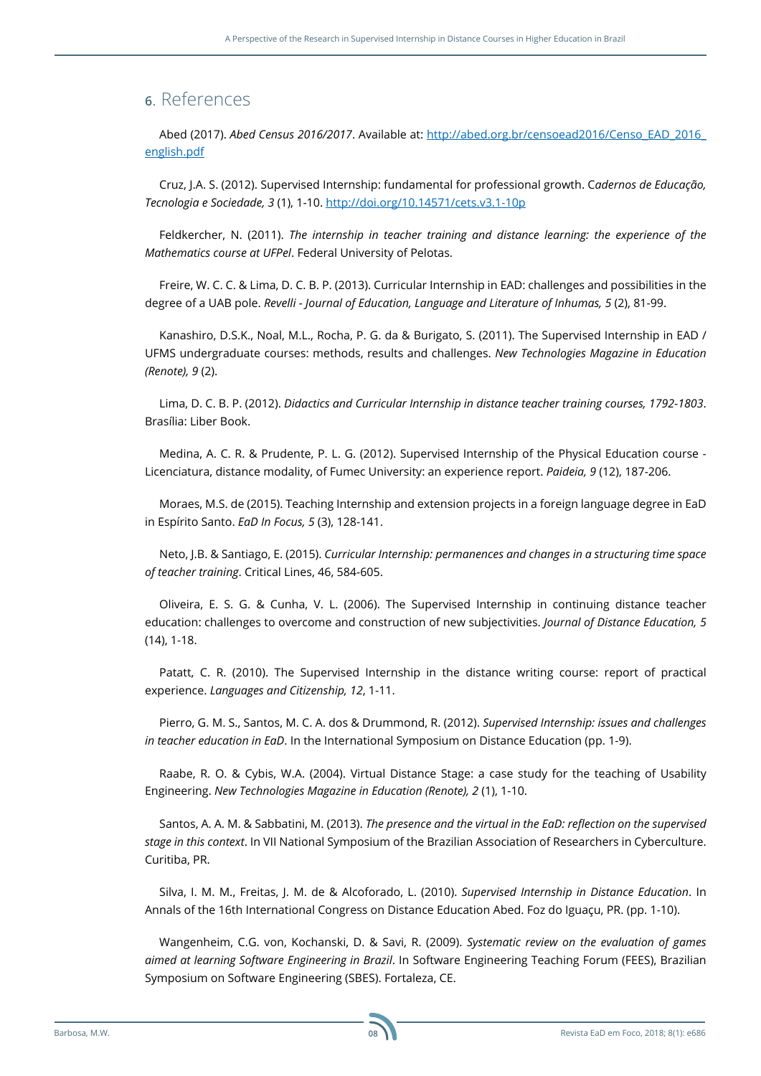### **6**. References

Abed (2017). *Abed Census 2016/2017*. Available at: [http://abed.org.br/censoead2016/Censo\\_EAD\\_2016\\_](http://abed.org.br/censoead2016/Censo_EAD_2016_english.pdf) [english.pdf](http://abed.org.br/censoead2016/Censo_EAD_2016_english.pdf)

Cruz, J.A. S. (2012). Supervised Internship: fundamental for professional growth. C*adernos de Educação, Tecnologia e Sociedade, 3* (1), 1-10.<http://doi.org/10.14571/cets.v3.1-10p>

Feldkercher, N. (2011). *The internship in teacher training and distance learning: the experience of the Mathematics course at UFPel*. Federal University of Pelotas.

Freire, W. C. C. & Lima, D. C. B. P. (2013). Curricular Internship in EAD: challenges and possibilities in the degree of a UAB pole. *Revelli - Journal of Education, Language and Literature of Inhumas, 5* (2), 81-99.

Kanashiro, D.S.K., Noal, M.L., Rocha, P. G. da & Burigato, S. (2011). The Supervised Internship in EAD / UFMS undergraduate courses: methods, results and challenges. *New Technologies Magazine in Education (Renote), 9* (2).

Lima, D. C. B. P. (2012). *Didactics and Curricular Internship in distance teacher training courses, 1792-1803*. Brasília: Liber Book.

Medina, A. C. R. & Prudente, P. L. G. (2012). Supervised Internship of the Physical Education course - Licenciatura, distance modality, of Fumec University: an experience report. *Paideia, 9* (12), 187-206.

Moraes, M.S. de (2015). Teaching Internship and extension projects in a foreign language degree in EaD in Espírito Santo. *EaD In Focus, 5* (3), 128-141.

Neto, J.B. & Santiago, E. (2015). *Curricular Internship: permanences and changes in a structuring time space of teacher training*. Critical Lines, 46, 584-605.

Oliveira, E. S. G. & Cunha, V. L. (2006). The Supervised Internship in continuing distance teacher education: challenges to overcome and construction of new subjectivities. *Journal of Distance Education, 5* (14), 1-18.

Patatt, C. R. (2010). The Supervised Internship in the distance writing course: report of practical experience. *Languages and Citizenship, 12*, 1-11.

Pierro, G. M. S., Santos, M. C. A. dos & Drummond, R. (2012). *Supervised Internship: issues and challenges in teacher education in EaD*. In the International Symposium on Distance Education (pp. 1-9).

Raabe, R. O. & Cybis, W.A. (2004). Virtual Distance Stage: a case study for the teaching of Usability Engineering. *New Technologies Magazine in Education (Renote), 2* (1), 1-10.

Santos, A. A. M. & Sabbatini, M. (2013). *The presence and the virtual in the EaD: reflection on the supervised stage in this context*. In VII National Symposium of the Brazilian Association of Researchers in Cyberculture. Curitiba, PR.

Silva, I. M. M., Freitas, J. M. de & Alcoforado, L. (2010). *Supervised Internship in Distance Education*. In Annals of the 16th International Congress on Distance Education Abed. Foz do Iguaçu, PR. (pp. 1-10).

Wangenheim, C.G. von, Kochanski, D. & Savi, R. (2009). *Systematic review on the evaluation of games aimed at learning Software Engineering in Brazil*. In Software Engineering Teaching Forum (FEES), Brazilian Symposium on Software Engineering (SBES). Fortaleza, CE.